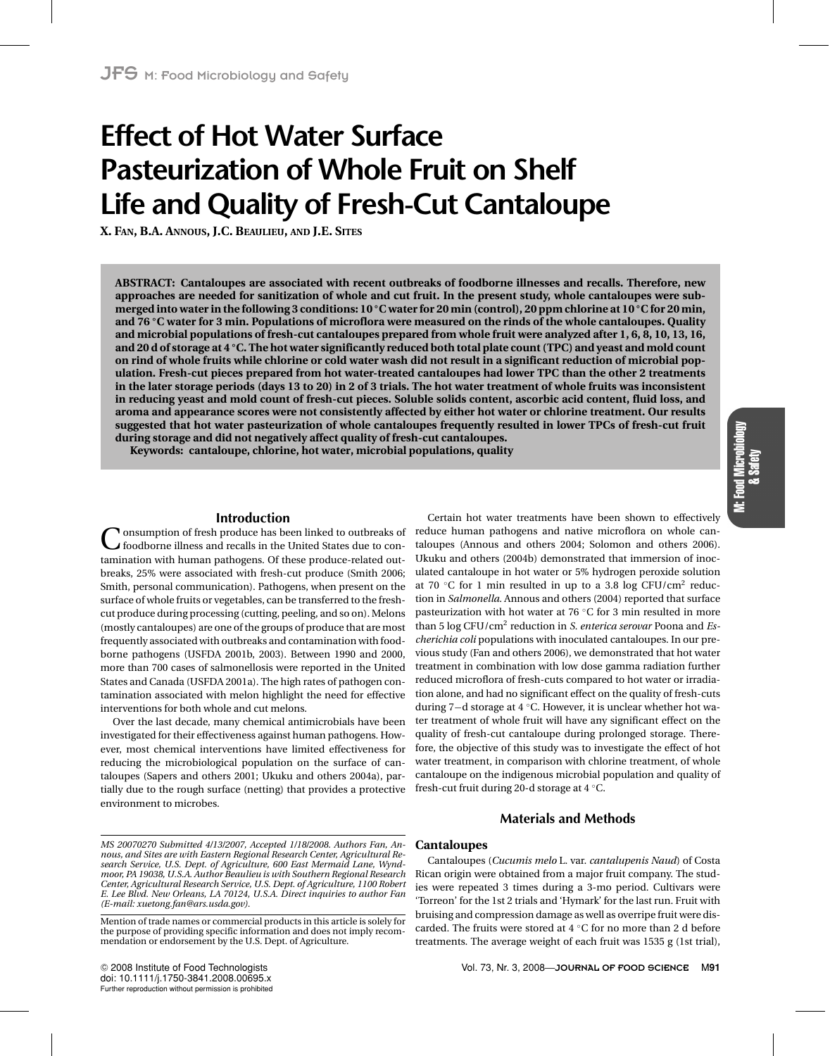# **Effect of Hot Water Surface Pasteurization of Whole Fruit on Shelf Life and Quality of Fresh-Cut Cantaloupe**

**X. FAN, B.A. ANNOUS, J.C. BEAULIEU, AND J.E. SITES**

**ABSTRACT: Cantaloupes are associated with recent outbreaks of foodborne illnesses and recalls. Therefore, new approaches are needed for sanitization of whole and cut fruit. In the present study, whole cantaloupes were submerged into water in the following 3 conditions: 10 ◦C water for 20 min (control), 20 ppm chlorine at 10 ◦C for 20 min, and 76 ◦C water for 3 min. Populations of microflora were measured on the rinds of the whole cantaloupes. Quality and microbial populations of fresh-cut cantaloupes prepared from whole fruit were analyzed after 1, 6, 8, 10, 13, 16, and 20 d of storage at 4 ◦C. The hot water significantly reduced both total plate count (TPC) and yeast and mold count on rind of whole fruits while chlorine or cold water wash did not result in a significant reduction of microbial population. Fresh-cut pieces prepared from hot water-treated cantaloupes had lower TPC than the other 2 treatments in the later storage periods (days 13 to 20) in 2 of 3 trials. The hot water treatment of whole fruits was inconsistent in reducing yeast and mold count of fresh-cut pieces. Soluble solids content, ascorbic acid content, fluid loss, and aroma and appearance scores were not consistently affected by either hot water or chlorine treatment. Our results suggested that hot water pasteurization of whole cantaloupes frequently resulted in lower TPCs of fresh-cut fruit during storage and did not negatively affect quality of fresh-cut cantaloupes.**

**Keywords: cantaloupe, chlorine, hot water, microbial populations, quality**

# **Introduction**

**V** onsumption of fresh produce has been linked to outbreaks of foodborne illness and recalls in the United States due to contamination with human pathogens. Of these produce-related outbreaks, 25% were associated with fresh-cut produce (Smith 2006; Smith, personal communication). Pathogens, when present on the surface of whole fruits or vegetables, can be transferred to the freshcut produce during processing (cutting, peeling, and so on). Melons (mostly cantaloupes) are one of the groups of produce that are most frequently associated with outbreaks and contamination with foodborne pathogens (USFDA 2001b, 2003). Between 1990 and 2000, more than 700 cases of salmonellosis were reported in the United States and Canada (USFDA 2001a). The high rates of pathogen contamination associated with melon highlight the need for effective interventions for both whole and cut melons.

Over the last decade, many chemical antimicrobials have been investigated for their effectiveness against human pathogens. However, most chemical interventions have limited effectiveness for reducing the microbiological population on the surface of cantaloupes (Sapers and others 2001; Ukuku and others 2004a), partially due to the rough surface (netting) that provides a protective environment to microbes.

Certain hot water treatments have been shown to effectively reduce human pathogens and native microflora on whole cantaloupes (Annous and others 2004; Solomon and others 2006). Ukuku and others (2004b) demonstrated that immersion of inoculated cantaloupe in hot water or 5% hydrogen peroxide solution at 70  $°C$  for 1 min resulted in up to a 3.8 log CFU/cm<sup>2</sup> reduction in *Salmonella*. Annous and others (2004) reported that surface pasteurization with hot water at 76 ◦C for 3 min resulted in more than 5 log CFU/cm2 reduction in *S. enterica serovar* Poona and *Escherichia coli* populations with inoculated cantaloupes. In our previous study (Fan and others 2006), we demonstrated that hot water treatment in combination with low dose gamma radiation further reduced microflora of fresh-cuts compared to hot water or irradiation alone, and had no significant effect on the quality of fresh-cuts during 7−d storage at 4 ◦C. However, it is unclear whether hot water treatment of whole fruit will have any significant effect on the quality of fresh-cut cantaloupe during prolonged storage. Therefore, the objective of this study was to investigate the effect of hot water treatment, in comparison with chlorine treatment, of whole cantaloupe on the indigenous microbial population and quality of fresh-cut fruit during 20-d storage at 4 ◦C.

# **Materials and Methods**

Cantaloupes (*Cucumis melo* L. var. *cantalupenis Naud*) of Costa Rican origin were obtained from a major fruit company. The studies were repeated 3 times during a 3-mo period. Cultivars were 'Torreon' for the 1st 2 trials and 'Hymark' for the last run. Fruit with bruising and compression damage as well as overripe fruit were discarded. The fruits were stored at 4 ◦C for no more than 2 d before treatments. The average weight of each fruit was 1535 g (1st trial),

**Cantaloupes**

#### *MS 20070270 Submitted 4/13/2007, Accepted 1/18/2008. Authors Fan, Annous, and Sites are with Eastern Regional Research Center, Agricultural Research Service, U.S. Dept. of Agriculture, 600 East Mermaid Lane, Wyndmoor, PA 19038, U.S.A. Author Beaulieu is with Southern Regional Research Center, Agricultural Research Service, U.S. Dept. of Agriculture, 1100 Robert E. Lee Blvd. New Orleans, LA 70124, U.S.A. Direct inquiries to author Fan (E-mail: xuetong.fan@ars.usda.gov).*

Mention of trade names or commercial products in this article is solely for the purpose of providing specific information and does not imply recommendation or endorsement by the U.S. Dept. of Agriculture.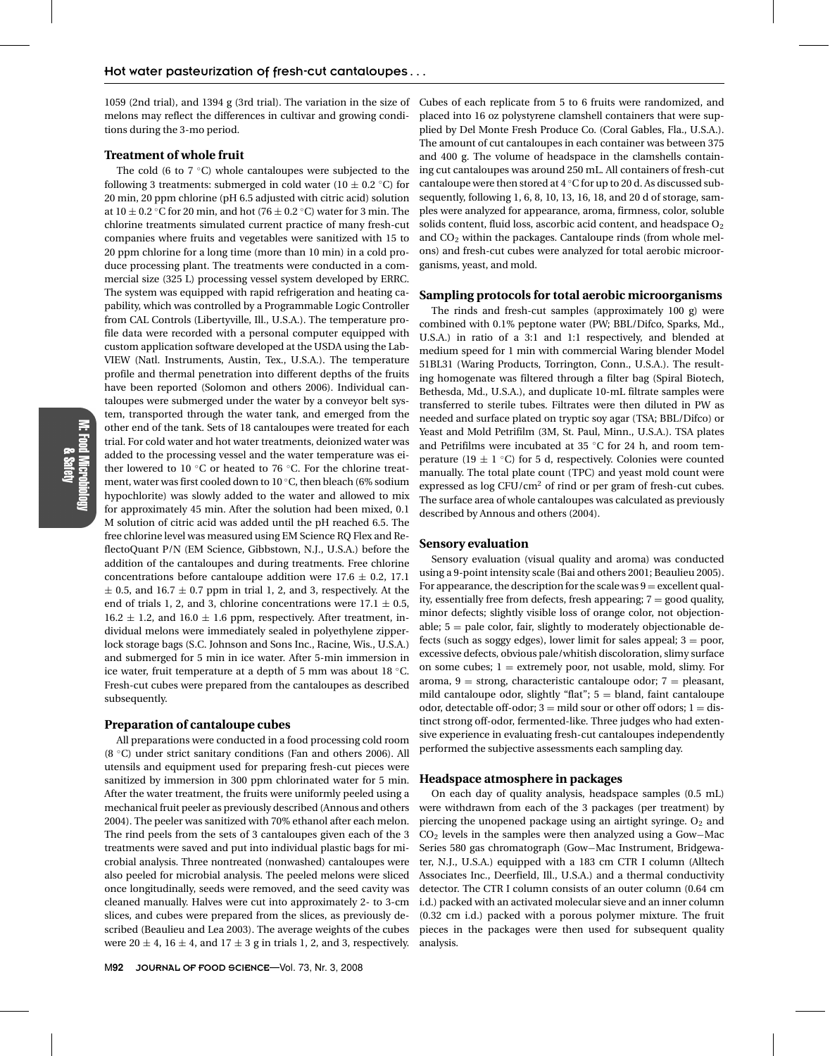1059 (2nd trial), and 1394 g (3rd trial). The variation in the size of Cubes of each replicate from 5 to 6 fruits were randomized, and melons may reflect the differences in cultivar and growing conditions during the 3-mo period.

# **Treatment of whole fruit**

The cold (6 to  $7 \text{ °C}$ ) whole cantaloupes were subjected to the following 3 treatments: submerged in cold water (10  $\pm$  0.2 °C) for 20 min, 20 ppm chlorine (pH 6.5 adjusted with citric acid) solution at  $10 \pm 0.2$  °C for 20 min, and hot (76  $\pm$  0.2 °C) water for 3 min. The chlorine treatments simulated current practice of many fresh-cut companies where fruits and vegetables were sanitized with 15 to 20 ppm chlorine for a long time (more than 10 min) in a cold produce processing plant. The treatments were conducted in a commercial size (325 L) processing vessel system developed by ERRC. The system was equipped with rapid refrigeration and heating capability, which was controlled by a Programmable Logic Controller from CAL Controls (Libertyville, Ill., U.S.A.). The temperature profile data were recorded with a personal computer equipped with custom application software developed at the USDA using the Lab-VIEW (Natl. Instruments, Austin, Tex., U.S.A.). The temperature profile and thermal penetration into different depths of the fruits have been reported (Solomon and others 2006). Individual cantaloupes were submerged under the water by a conveyor belt system, transported through the water tank, and emerged from the other end of the tank. Sets of 18 cantaloupes were treated for each trial. For cold water and hot water treatments, deionized water was added to the processing vessel and the water temperature was either lowered to 10 ◦C or heated to 76 ◦C. For the chlorine treatment, water was first cooled down to 10 ◦C, then bleach (6% sodium hypochlorite) was slowly added to the water and allowed to mix for approximately 45 min. After the solution had been mixed, 0.1 M solution of citric acid was added until the pH reached 6.5. The free chlorine level was measured using EM Science RQ Flex and ReflectoQuant P/N (EM Science, Gibbstown, N.J., U.S.A.) before the addition of the cantaloupes and during treatments. Free chlorine concentrations before cantaloupe addition were  $17.6 \pm 0.2$ , 17.1  $\pm$  0.5, and 16.7  $\pm$  0.7 ppm in trial 1, 2, and 3, respectively. At the end of trials 1, 2, and 3, chlorine concentrations were  $17.1 \pm 0.5$ ,  $16.2 \pm 1.2$ , and  $16.0 \pm 1.6$  ppm, respectively. After treatment, individual melons were immediately sealed in polyethylene zipperlock storage bags (S.C. Johnson and Sons Inc., Racine, Wis., U.S.A.) and submerged for 5 min in ice water. After 5-min immersion in ice water, fruit temperature at a depth of 5 mm was about 18 ◦C. Fresh-cut cubes were prepared from the cantaloupes as described subsequently.

## **Preparation of cantaloupe cubes**

All preparations were conducted in a food processing cold room (8 ◦C) under strict sanitary conditions (Fan and others 2006). All utensils and equipment used for preparing fresh-cut pieces were sanitized by immersion in 300 ppm chlorinated water for 5 min. After the water treatment, the fruits were uniformly peeled using a mechanical fruit peeler as previously described (Annous and others 2004). The peeler was sanitized with 70% ethanol after each melon. The rind peels from the sets of 3 cantaloupes given each of the 3 treatments were saved and put into individual plastic bags for microbial analysis. Three nontreated (nonwashed) cantaloupes were also peeled for microbial analysis. The peeled melons were sliced once longitudinally, seeds were removed, and the seed cavity was cleaned manually. Halves were cut into approximately 2- to 3-cm slices, and cubes were prepared from the slices, as previously described (Beaulieu and Lea 2003). The average weights of the cubes were  $20 \pm 4$ ,  $16 \pm 4$ , and  $17 \pm 3$  g in trials 1, 2, and 3, respectively.

placed into 16 oz polystyrene clamshell containers that were supplied by Del Monte Fresh Produce Co. (Coral Gables, Fla., U.S.A.). The amount of cut cantaloupes in each container was between 375 and 400 g. The volume of headspace in the clamshells containing cut cantaloupes was around 250 mL. All containers of fresh-cut cantaloupe were then stored at 4 ◦C for up to 20 d. As discussed subsequently, following 1, 6, 8, 10, 13, 16, 18, and 20 d of storage, samples were analyzed for appearance, aroma, firmness, color, soluble solids content, fluid loss, ascorbic acid content, and headspace  $O<sub>2</sub>$ and  $CO<sub>2</sub>$  within the packages. Cantaloupe rinds (from whole melons) and fresh-cut cubes were analyzed for total aerobic microorganisms, yeast, and mold.

### **Sampling protocols for total aerobic microorganisms**

The rinds and fresh-cut samples (approximately 100 g) were combined with 0.1% peptone water (PW; BBL/Difco, Sparks, Md., U.S.A.) in ratio of a 3:1 and 1:1 respectively, and blended at medium speed for 1 min with commercial Waring blender Model 51BL31 (Waring Products, Torrington, Conn., U.S.A.). The resulting homogenate was filtered through a filter bag (Spiral Biotech, Bethesda, Md., U.S.A.), and duplicate 10-mL filtrate samples were transferred to sterile tubes. Filtrates were then diluted in PW as needed and surface plated on tryptic soy agar (TSA; BBL/Difco) or Yeast and Mold Petrifilm (3M, St. Paul, Minn., U.S.A.). TSA plates and Petrifilms were incubated at 35 ◦C for 24 h, and room temperature (19  $\pm$  1 °C) for 5 d, respectively. Colonies were counted manually. The total plate count (TPC) and yeast mold count were expressed as log CFU/cm<sup>2</sup> of rind or per gram of fresh-cut cubes. The surface area of whole cantaloupes was calculated as previously described by Annous and others (2004).

# **Sensory evaluation**

Sensory evaluation (visual quality and aroma) was conducted using a 9-point intensity scale (Bai and others 2001; Beaulieu 2005). For appearance, the description for the scale was  $9 =$  excellent quality, essentially free from defects, fresh appearing;  $7 =$  good quality, minor defects; slightly visible loss of orange color, not objectionable;  $5 =$  pale color, fair, slightly to moderately objectionable defects (such as soggy edges), lower limit for sales appeal;  $3 =$  poor, excessive defects, obvious pale/whitish discoloration, slimy surface on some cubes;  $1 =$  extremely poor, not usable, mold, slimy. For aroma,  $9 =$  strong, characteristic cantaloupe odor;  $7 =$  pleasant, mild cantaloupe odor, slightly "flat";  $5 =$  bland, faint cantaloupe odor, detectable off-odor;  $3 =$  mild sour or other off odors;  $1 =$  distinct strong off-odor, fermented-like. Three judges who had extensive experience in evaluating fresh-cut cantaloupes independently performed the subjective assessments each sampling day.

# **Headspace atmosphere in packages**

On each day of quality analysis, headspace samples (0.5 mL) were withdrawn from each of the 3 packages (per treatment) by piercing the unopened package using an airtight syringe.  $O_2$  and CO2 levels in the samples were then analyzed using a Gow−Mac Series 580 gas chromatograph (Gow−Mac Instrument, Bridgewater, N.J., U.S.A.) equipped with a 183 cm CTR I column (Alltech Associates Inc., Deerfield, Ill., U.S.A.) and a thermal conductivity detector. The CTR I column consists of an outer column (0.64 cm i.d.) packed with an activated molecular sieve and an inner column (0.32 cm i.d.) packed with a porous polymer mixture. The fruit pieces in the packages were then used for subsequent quality analysis.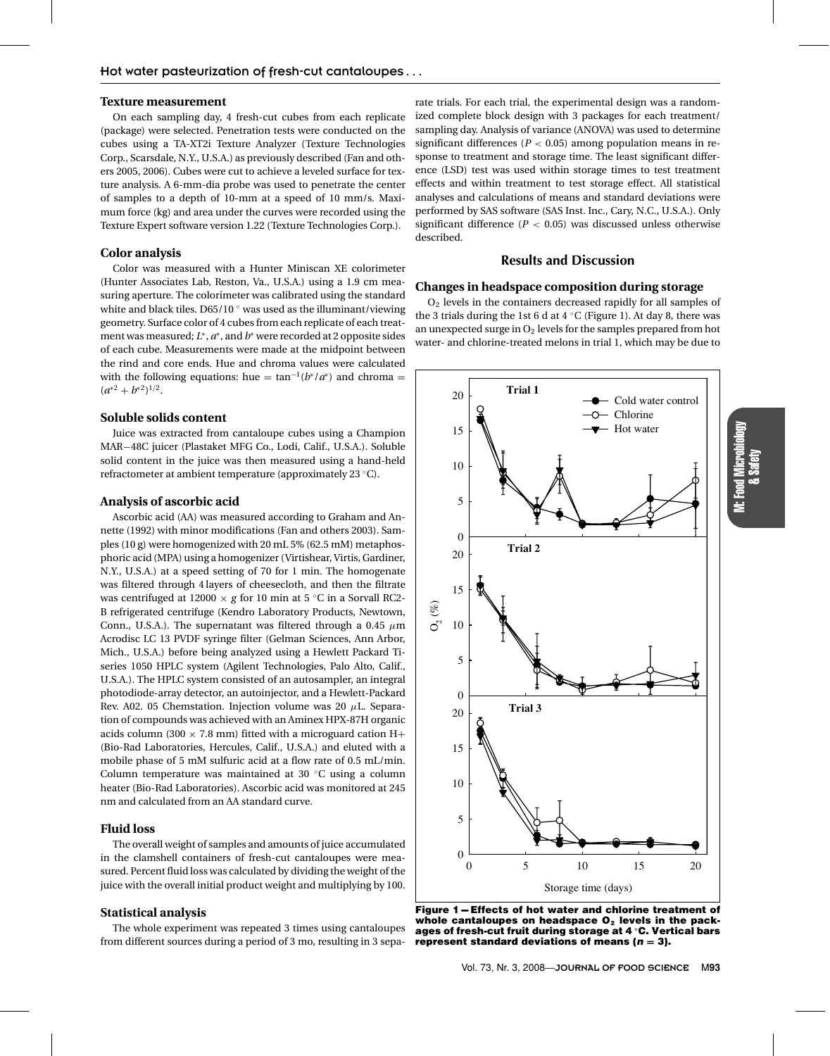## **Texture measurement**

On each sampling day, 4 fresh-cut cubes from each replicate (package) were selected. Penetration tests were conducted on the cubes using a TA-XT2i Texture Analyzer (Texture Technologies Corp., Scarsdale, N.Y., U.S.A.) as previously described (Fan and others 2005, 2006). Cubes were cut to achieve a leveled surface for texture analysis. A 6-mm-dia probe was used to penetrate the center of samples to a depth of 10-mm at a speed of 10 mm/s. Maximum force (kg) and area under the curves were recorded using the Texture Expert software version 1.22 (Texture Technologies Corp.).

# **Color analysis**

Color was measured with a Hunter Miniscan XE colorimeter (Hunter Associates Lab, Reston, Va., U.S.A.) using a 1.9 cm measuring aperture. The colorimeter was calibrated using the standard white and black tiles. D65/10 $\degree$  was used as the illuminant/viewing geometry. Surface color of 4 cubes from each replicate of each treatment was measured; *L*∗, *a*∗, and *b*<sup>∗</sup> were recorded at 2 opposite sides of each cube. Measurements were made at the midpoint between the rind and core ends. Hue and chroma values were calculated with the following equations: hue =  $\tan^{-1}(b^*/a^*)$  and chroma =  $(a^{*2}+b^{*2})^{1/2}.$ 

# **Soluble solids content**

Juice was extracted from cantaloupe cubes using a Champion MAR−48C juicer (Plastaket MFG Co., Lodi, Calif., U.S.A.). Soluble solid content in the juice was then measured using a hand-held refractometer at ambient temperature (approximately 23 ◦C).

# **Analysis of ascorbic acid**

Ascorbic acid (AA) was measured according to Graham and Annette (1992) with minor modifications (Fan and others 2003). Samples (10 g) were homogenized with 20 mL 5% (62.5 mM) metaphosphoric acid (MPA) using a homogenizer (Virtishear, Virtis, Gardiner, N.Y., U.S.A.) at a speed setting of 70 for 1 min. The homogenate was filtered through 4 layers of cheesecloth, and then the filtrate was centrifuged at 12000  $\times$  *g* for 10 min at 5 °C in a Sorvall RC2-B refrigerated centrifuge (Kendro Laboratory Products, Newtown, Conn., U.S.A.). The supernatant was filtered through a 0.45  $\mu$ m Acrodisc LC 13 PVDF syringe filter (Gelman Sciences, Ann Arbor, Mich., U.S.A.) before being analyzed using a Hewlett Packard Tiseries 1050 HPLC system (Agilent Technologies, Palo Alto, Calif., U.S.A.). The HPLC system consisted of an autosampler, an integral photodiode-array detector, an autoinjector, and a Hewlett-Packard Rev. A02. 05 Chemstation. Injection volume was 20  $\mu$ L. Separation of compounds was achieved with an Aminex HPX-87H organic acids column (300  $\times$  7.8 mm) fitted with a microguard cation H+ (Bio-Rad Laboratories, Hercules, Calif., U.S.A.) and eluted with a mobile phase of 5 mM sulfuric acid at a flow rate of 0.5 mL/min. Column temperature was maintained at 30 ◦C using a column heater (Bio-Rad Laboratories). Ascorbic acid was monitored at 245 nm and calculated from an AA standard curve.

# **Fluid loss**

The overall weight of samples and amounts of juice accumulated in the clamshell containers of fresh-cut cantaloupes were measured. Percent fluid loss was calculated by dividing the weight of the juice with the overall initial product weight and multiplying by 100.

#### **Statistical analysis**

The whole experiment was repeated 3 times using cantaloupes from different sources during a period of 3 mo, resulting in 3 sepa-

rate trials. For each trial, the experimental design was a randomized complete block design with 3 packages for each treatment/ sampling day. Analysis of variance (ANOVA) was used to determine significant differences ( $P < 0.05$ ) among population means in response to treatment and storage time. The least significant difference (LSD) test was used within storage times to test treatment effects and within treatment to test storage effect. All statistical analyses and calculations of means and standard deviations were performed by SAS software (SAS Inst. Inc., Cary, N.C., U.S.A.). Only significant difference ( $P < 0.05$ ) was discussed unless otherwise described.

# **Results and Discussion**

# **Changes in headspace composition during storage**

O2 levels in the containers decreased rapidly for all samples of the 3 trials during the 1st 6 d at  $4^{\circ}$ C (Figure 1). At day 8, there was an unexpected surge in  $O_2$  levels for the samples prepared from hot water- and chlorine-treated melons in trial 1, which may be due to

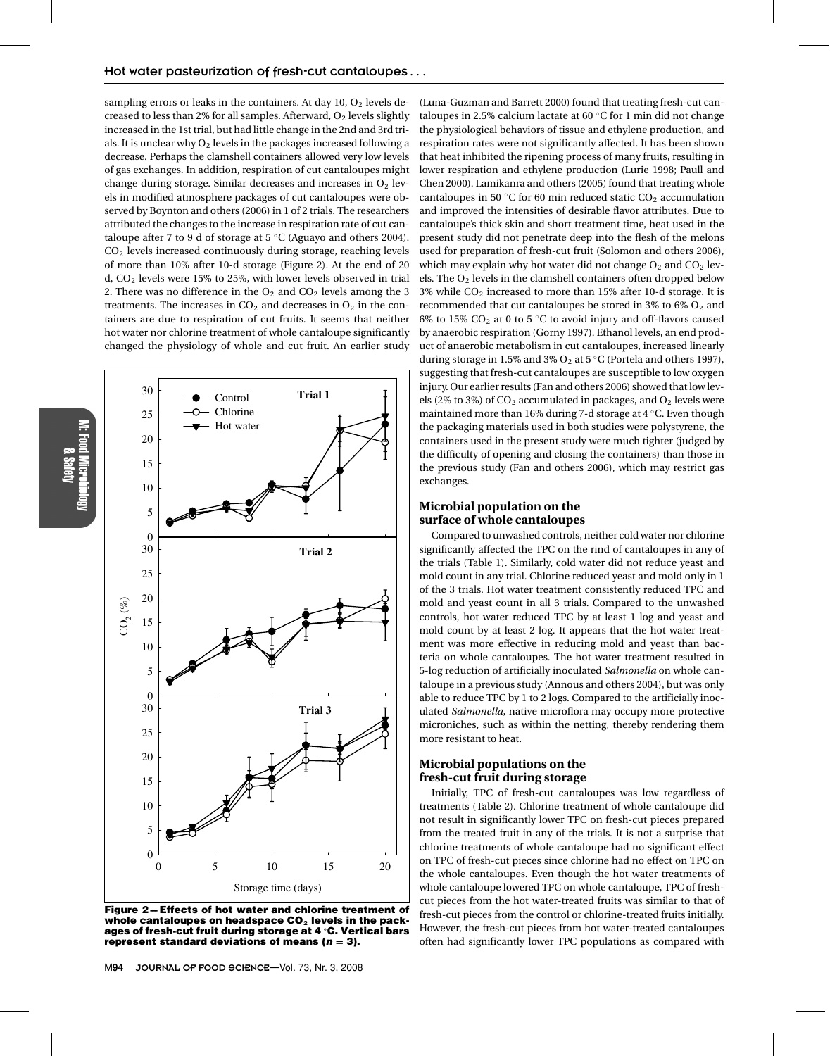sampling errors or leaks in the containers. At day  $10, 0<sub>2</sub>$  levels decreased to less than 2% for all samples. Afterward,  $O<sub>2</sub>$  levels slightly increased in the 1st trial, but had little change in the 2nd and 3rd trials. It is unclear why  $O_2$  levels in the packages increased following a decrease. Perhaps the clamshell containers allowed very low levels of gas exchanges. In addition, respiration of cut cantaloupes might change during storage. Similar decreases and increases in  $O<sub>2</sub>$  levels in modified atmosphere packages of cut cantaloupes were observed by Boynton and others (2006) in 1 of 2 trials. The researchers attributed the changes to the increase in respiration rate of cut cantaloupe after 7 to 9 d of storage at  $5^{\circ}$ C (Aguayo and others 2004). CO2 levels increased continuously during storage, reaching levels of more than 10% after 10-d storage (Figure 2). At the end of 20 d, CO2 levels were 15% to 25%, with lower levels observed in trial 2. There was no difference in the  $O_2$  and  $CO_2$  levels among the 3 treatments. The increases in  $CO<sub>2</sub>$  and decreases in  $O<sub>2</sub>$  in the containers are due to respiration of cut fruits. It seems that neither hot water nor chlorine treatment of whole cantaloupe significantly changed the physiology of whole and cut fruit. An earlier study



&Safety

**Figure 2-Effects of hot water and chlorine treatment of** whole cantaloupes on headspace CO<sub>2</sub> levels in the pack**ages of fresh-cut fruit during storage at 4 ◦ C. Vertical bars represent standard deviations of means (***n* **= 3).**

(Luna-Guzman and Barrett 2000) found that treating fresh-cut cantaloupes in 2.5% calcium lactate at 60 ◦C for 1 min did not change the physiological behaviors of tissue and ethylene production, and respiration rates were not significantly affected. It has been shown that heat inhibited the ripening process of many fruits, resulting in lower respiration and ethylene production (Lurie 1998; Paull and Chen 2000). Lamikanra and others (2005) found that treating whole cantaloupes in 50  $°C$  for 60 min reduced static  $CO<sub>2</sub>$  accumulation and improved the intensities of desirable flavor attributes. Due to cantaloupe's thick skin and short treatment time, heat used in the present study did not penetrate deep into the flesh of the melons used for preparation of fresh-cut fruit (Solomon and others 2006), which may explain why hot water did not change  $O_2$  and  $CO_2$  levels. The O2 levels in the clamshell containers often dropped below 3% while CO2 increased to more than 15% after 10-d storage. It is recommended that cut cantaloupes be stored in  $3\%$  to  $6\%$  O<sub>2</sub> and 6% to 15%  $CO<sub>2</sub>$  at 0 to 5 °C to avoid injury and off-flavors caused by anaerobic respiration (Gorny 1997). Ethanol levels, an end product of anaerobic metabolism in cut cantaloupes, increased linearly during storage in 1.5% and 3%  $O_2$  at 5 °C (Portela and others 1997), suggesting that fresh-cut cantaloupes are susceptible to low oxygen injury. Our earlier results (Fan and others 2006) showed that low levels (2% to 3%) of  $CO<sub>2</sub>$  accumulated in packages, and  $O<sub>2</sub>$  levels were maintained more than 16% during 7-d storage at 4 ◦C. Even though the packaging materials used in both studies were polystyrene, the containers used in the present study were much tighter (judged by the difficulty of opening and closing the containers) than those in the previous study (Fan and others 2006), which may restrict gas exchanges.

# **Microbial population on the surface of whole cantaloupes**

Compared to unwashed controls, neither cold water nor chlorine significantly affected the TPC on the rind of cantaloupes in any of the trials (Table 1). Similarly, cold water did not reduce yeast and mold count in any trial. Chlorine reduced yeast and mold only in 1 of the 3 trials. Hot water treatment consistently reduced TPC and mold and yeast count in all 3 trials. Compared to the unwashed controls, hot water reduced TPC by at least 1 log and yeast and mold count by at least 2 log. It appears that the hot water treatment was more effective in reducing mold and yeast than bacteria on whole cantaloupes. The hot water treatment resulted in 5-log reduction of artificially inoculated *Salmonella* on whole cantaloupe in a previous study (Annous and others 2004), but was only able to reduce TPC by 1 to 2 logs. Compared to the artificially inoculated *Salmonella*, native microflora may occupy more protective microniches, such as within the netting, thereby rendering them more resistant to heat.

# **Microbial populations on the fresh-cut fruit during storage**

Initially, TPC of fresh-cut cantaloupes was low regardless of treatments (Table 2). Chlorine treatment of whole cantaloupe did not result in significantly lower TPC on fresh-cut pieces prepared from the treated fruit in any of the trials. It is not a surprise that chlorine treatments of whole cantaloupe had no significant effect on TPC of fresh-cut pieces since chlorine had no effect on TPC on the whole cantaloupes. Even though the hot water treatments of whole cantaloupe lowered TPC on whole cantaloupe, TPC of freshcut pieces from the hot water-treated fruits was similar to that of fresh-cut pieces from the control or chlorine-treated fruits initially. However, the fresh-cut pieces from hot water-treated cantaloupes often had significantly lower TPC populations as compared with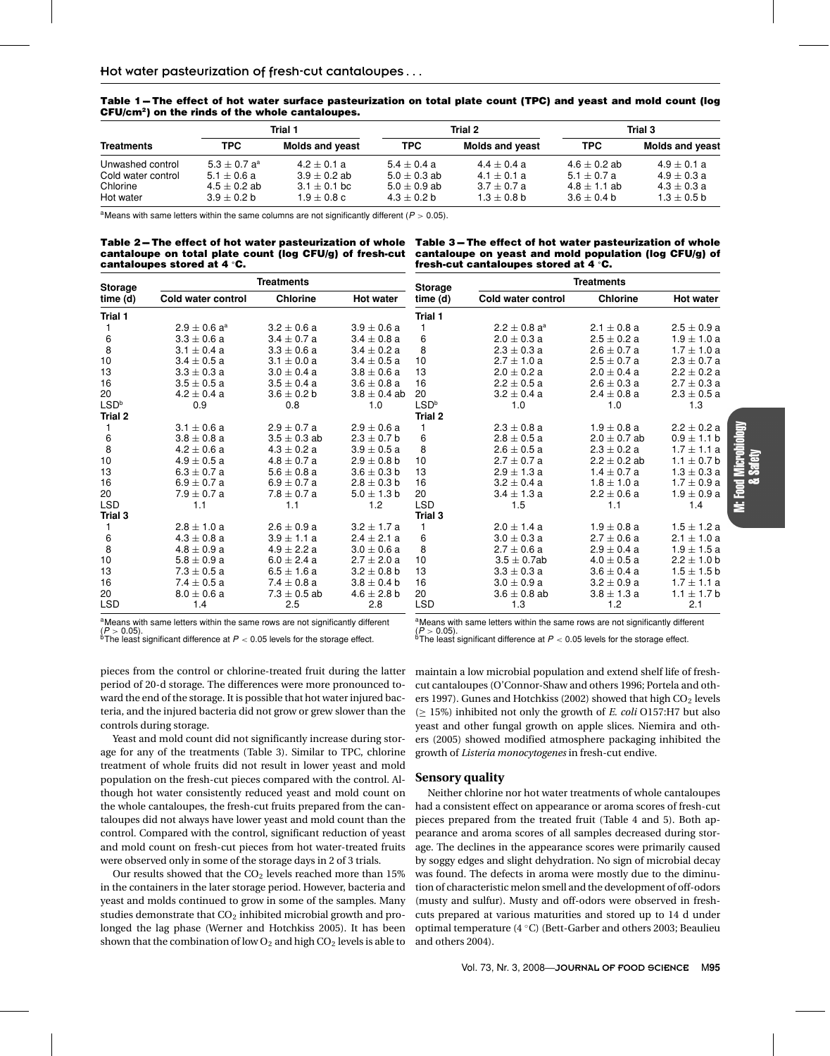Table 1-The effect of hot water surface pasteurization on total plate count (TPC) and yeast and mold count (log **CFU/cm2) on the rinds of the whole cantaloupes.**

|                    | Trial 1          |                        |                  | Trial 2                | Trial 3          |                        |
|--------------------|------------------|------------------------|------------------|------------------------|------------------|------------------------|
| <b>Treatments</b>  | TPC.             | <b>Molds and yeast</b> | <b>TPC</b>       | <b>Molds and yeast</b> | <b>TPC</b>       | <b>Molds and yeast</b> |
| Unwashed control   | $5.3 + 0.7 a^a$  | $4.2 \pm 0.1 a$        | $5.4 \pm 0.4$ a  | $4.4 \pm 0.4 a$        | $4.6 + 0.2$ ab   | $4.9 + 0.1 a$          |
| Cold water control | $5.1 \pm 0.6 a$  | $3.9 + 0.2$ ab         | $5.0 \pm 0.3$ ab | $4.1 \pm 0.1 a$        | $5.1 \pm 0.7 a$  | $4.9 + 0.3 a$          |
| Chlorine           | $4.5 \pm 0.2$ ab | $3.1 \pm 0.1$ bc       | $5.0 \pm 0.9$ ab | $3.7 + 0.7 a$          | $4.8 \pm 1.1$ ab | $4.3 + 0.3 a$          |
| Hot water          | $3.9 + 0.2 b$    | $1.9 + 0.8 c$          | $4.3 \pm 0.2$ b  | $1.3 + 0.8$ b          | $3.6 + 0.4 b$    | $1.3 \pm 0.5$ b        |

<sup>a</sup>Means with same letters within the same columns are not significantly different ( $P > 0.05$ ).

| Table 2—The effect of hot water pasteurization of whole  |  |
|----------------------------------------------------------|--|
| cantaloupe on total plate count (log CFU/g) of fresh-cut |  |
| cantaloupes stored at 4 °C.                              |  |

**Table 3-The effect of hot water pasteurization of whole cantaloupe on yeast and mold population (log CFU/g) of fresh-cut cantaloupes stored at 4 ◦C.**

| <b>Storage</b>   | <b>Treatments</b>            |                  |                  | <b>Storage</b>   | <b>Treatments</b>          |                  |                  |  |
|------------------|------------------------------|------------------|------------------|------------------|----------------------------|------------------|------------------|--|
| time (d)         | Cold water control           | <b>Chlorine</b>  | <b>Hot water</b> | time (d)         | Cold water control         | <b>Chlorine</b>  | <b>Hot water</b> |  |
| Trial 1          |                              |                  |                  | Trial 1          |                            |                  |                  |  |
|                  | $2.9 \pm 0.6$ a <sup>a</sup> | $3.2 \pm 0.6 a$  | $3.9 \pm 0.6 a$  |                  | $2.2 + 0.8$ a <sup>a</sup> | $2.1 \pm 0.8$ a  | $2.5 \pm 0.9 a$  |  |
| 6                | $3.3 \pm 0.6 a$              | $3.4 \pm 0.7 a$  | $3.4 \pm 0.8$ a  | 6                | $2.0 + 0.3 a$              | $2.5 + 0.2 a$    | $1.9 \pm 1.0 a$  |  |
| 8                | $3.1 \pm 0.4 a$              | $3.3 \pm 0.6 a$  | $3.4 \pm 0.2 a$  | 8                | $2.3 \pm 0.3 a$            | $2.6 \pm 0.7$ a  | $1.7 \pm 1.0 a$  |  |
| 10               | $3.4 \pm 0.5 a$              | $3.1 \pm 0.0 a$  | $3.4 \pm 0.5 a$  | 10               | $2.7 \pm 1.0 a$            | $2.5 \pm 0.7$ a  | $2.3 \pm 0.7 a$  |  |
| 13               | $3.3 \pm 0.3 a$              | $3.0 \pm 0.4 a$  | $3.8 \pm 0.6$ a  | 13               | $2.0 \pm 0.2 a$            | $2.0 \pm 0.4 a$  | $2.2 \pm 0.2 a$  |  |
| 16               | $3.5 \pm 0.5 a$              | $3.5 \pm 0.4 a$  | $3.6 \pm 0.8$ a  | 16               | $2.2 \pm 0.5 a$            | $2.6 \pm 0.3 a$  | $2.7 \pm 0.3$ a  |  |
| 20               | $4.2 \pm 0.4$ a              | $3.6 \pm 0.2 b$  | $3.8 \pm 0.4$ ab | 20               | $3.2 \pm 0.4 a$            | $2.4 \pm 0.8$ a  | $2.3 \pm 0.5 a$  |  |
| LSD <sup>b</sup> | 0.9                          | 0.8              | 1.0              | LSD <sup>b</sup> | 1.0                        | 1.0              | 1.3              |  |
| Trial 2          |                              |                  |                  | Trial 2          |                            |                  |                  |  |
|                  | $3.1 \pm 0.6$ a              | $2.9 \pm 0.7 a$  | $2.9 \pm 0.6 a$  |                  | $2.3 \pm 0.8$ a            | $1.9 \pm 0.8$ a  | $2.2 \pm 0.2 a$  |  |
| 6                | $3.8 \pm 0.8$ a              | $3.5 \pm 0.3$ ab | $2.3 \pm 0.7$ b  | 6                | $2.8 \pm 0.5 a$            | $2.0 \pm 0.7$ ab | $0.9 \pm 1.1$ b  |  |
| 8                | $4.2 \pm 0.6$ a              | $4.3 + 0.2 a$    | $3.9 \pm 0.5 a$  | 8                | $2.6 + 0.5a$               | $2.3 + 0.2 a$    | $1.7 \pm 1.1$ a  |  |
| 10               | $4.9 \pm 0.5$ a              | $4.8 \pm 0.7 a$  | $2.9 \pm 0.8$ b  | 10               | $2.7 \pm 0.7$ a            | $2.2 \pm 0.2$ ab | $1.1 \pm 0.7$ b  |  |
| 13               | $6.3 \pm 0.7 a$              | $5.6 \pm 0.8 a$  | $3.6 \pm 0.3$ b  | 13               | $2.9 \pm 1.3 a$            | $1.4 \pm 0.7$ a  | $1.3 \pm 0.3 a$  |  |
| 16               | $6.9 \pm 0.7 a$              | $6.9 \pm 0.7 a$  | $2.8 \pm 0.3$ b  | 16               | $3.2 \pm 0.4 a$            | $1.8 \pm 1.0 a$  | $1.7 \pm 0.9$ a  |  |
| 20               | $7.9 \pm 0.7$ a              | $7.8 \pm 0.7 a$  | $5.0 \pm 1.3$ b  | 20               | $3.4 \pm 1.3 a$            | $2.2 \pm 0.6 a$  | $1.9 \pm 0.9 a$  |  |
| <b>LSD</b>       | 1.1                          | 1.1              | 1.2              | <b>LSD</b>       | 1.5                        | 1.1              | 1.4              |  |
| Trial 3          |                              |                  |                  | Trial 3          |                            |                  |                  |  |
| 1                | $2.8 \pm 1.0 a$              | $2.6 \pm 0.9 a$  | $3.2 \pm 1.7$ a  |                  | $2.0 \pm 1.4 a$            | $1.9 \pm 0.8$ a  | $1.5 \pm 1.2 a$  |  |
| 6                | $4.3 \pm 0.8$ a              | $3.9 \pm 1.1 a$  | $2.4 \pm 2.1 a$  | 6                | $3.0 \pm 0.3 a$            | $2.7 \pm 0.6$ a  | $2.1 \pm 1.0 a$  |  |
| 8                | $4.8 \pm 0.9 a$              | $4.9 \pm 2.2 a$  | $3.0 \pm 0.6 a$  | 8                | $2.7 \pm 0.6$ a            | $2.9 \pm 0.4 a$  | $1.9 \pm 1.5 a$  |  |
| 10               | $5.8 \pm 0.9 a$              | $6.0 \pm 2.4 a$  | $2.7 \pm 2.0 a$  | 10               | $3.5 + 0.7$ ab             | $4.0 \pm 0.5$ a  | $2.2 \pm 1.0$ b  |  |
| 13               | $7.3 \pm 0.5 a$              | $6.5 \pm 1.6 a$  | $3.2 \pm 0.8$ b  | 13               | $3.3 \pm 0.3 a$            | $3.6 \pm 0.4$ a  | $1.5 \pm 1.5$ b  |  |
| 16               | $7.4 \pm 0.5 a$              | $7.4 \pm 0.8$ a  | $3.8 \pm 0.4$ b  | 16               | $3.0 \pm 0.9 a$            | $3.2 \pm 0.9 a$  | $1.7 \pm 1.1 a$  |  |
| 20               | $8.0 \pm 0.6 a$              | $7.3 \pm 0.5$ ab | $4.6 \pm 2.8$ b  | 20               | $3.6 \pm 0.8$ ab           | $3.8 \pm 1.3$ a  | $1.1 \pm 1.7$ b  |  |
| <b>LSD</b>       | 1.4                          | 2.5              | 2.8              | <b>LSD</b>       | 1.3                        | 1.2              | 2.1              |  |

aMeans with same letters within the same rows are not significantly different

 $(P > 0.05)$ .<br><sup>b</sup>The least significant difference at  $P < 0.05$  levels for the storage effect.

<sup>a</sup>Means with same letters within the same rows are not significantly different

 $(2 \times 6.05)$ .<br><sup>b</sup>The least significant difference at  $P < 0.05$  levels for the storage effect.

pieces from the control or chlorine-treated fruit during the latter period of 20-d storage. The differences were more pronounced toward the end of the storage. It is possible that hot water injured bacteria, and the injured bacteria did not grow or grew slower than the controls during storage.

Yeast and mold count did not significantly increase during storage for any of the treatments (Table 3). Similar to TPC, chlorine treatment of whole fruits did not result in lower yeast and mold population on the fresh-cut pieces compared with the control. Although hot water consistently reduced yeast and mold count on the whole cantaloupes, the fresh-cut fruits prepared from the cantaloupes did not always have lower yeast and mold count than the control. Compared with the control, significant reduction of yeast and mold count on fresh-cut pieces from hot water-treated fruits were observed only in some of the storage days in 2 of 3 trials.

Our results showed that the  $CO<sub>2</sub>$  levels reached more than 15% in the containers in the later storage period. However, bacteria and yeast and molds continued to grow in some of the samples. Many studies demonstrate that  $CO<sub>2</sub>$  inhibited microbial growth and prolonged the lag phase (Werner and Hotchkiss 2005). It has been shown that the combination of low  $O_2$  and high  $CO_2$  levels is able to maintain a low microbial population and extend shelf life of freshcut cantaloupes (O'Connor-Shaw and others 1996; Portela and others 1997). Gunes and Hotchkiss (2002) showed that high  $CO<sub>2</sub>$  levels (≥ 15%) inhibited not only the growth of *E. coli* O157:H7 but also yeast and other fungal growth on apple slices. Niemira and others (2005) showed modified atmosphere packaging inhibited the growth of *Listeria monocytogenes* in fresh-cut endive.

## **Sensory quality**

Neither chlorine nor hot water treatments of whole cantaloupes had a consistent effect on appearance or aroma scores of fresh-cut pieces prepared from the treated fruit (Table 4 and 5). Both appearance and aroma scores of all samples decreased during storage. The declines in the appearance scores were primarily caused by soggy edges and slight dehydration. No sign of microbial decay was found. The defects in aroma were mostly due to the diminution of characteristic melon smell and the development of off-odors (musty and sulfur). Musty and off-odors were observed in freshcuts prepared at various maturities and stored up to 14 d under optimal temperature (4 ◦C) (Bett-Garber and others 2003; Beaulieu and others 2004).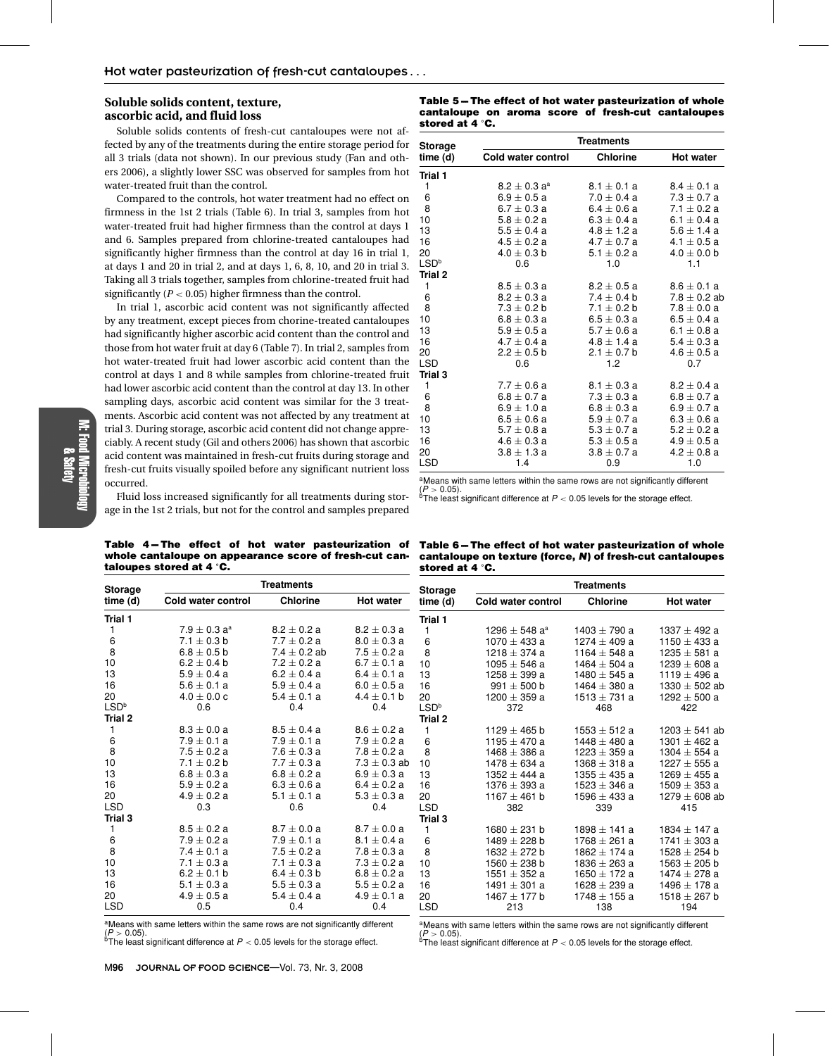# **Soluble solids content, texture, ascorbic acid, and fluid loss**

Soluble solids contents of fresh-cut cantaloupes were not affected by any of the treatments during the entire storage period for all 3 trials (data not shown). In our previous study (Fan and others 2006), a slightly lower SSC was observed for samples from hot water-treated fruit than the control.

Compared to the controls, hot water treatment had no effect on firmness in the 1st 2 trials (Table 6). In trial 3, samples from hot water-treated fruit had higher firmness than the control at days 1 and 6. Samples prepared from chlorine-treated cantaloupes had significantly higher firmness than the control at day 16 in trial 1, at days 1 and 20 in trial 2, and at days 1, 6, 8, 10, and 20 in trial 3. Taking all 3 trials together, samples from chlorine-treated fruit had significantly  $(P < 0.05)$  higher firmness than the control.

In trial 1, ascorbic acid content was not significantly affected by any treatment, except pieces from chorine-treated cantaloupes had significantly higher ascorbic acid content than the control and those from hot water fruit at day 6 (Table 7). In trial 2, samples from hot water-treated fruit had lower ascorbic acid content than the control at days 1 and 8 while samples from chlorine-treated fruit had lower ascorbic acid content than the control at day 13. In other sampling days, ascorbic acid content was similar for the 3 treatments. Ascorbic acid content was not affected by any treatment at trial 3. During storage, ascorbic acid content did not change appreciably. A recent study (Gil and others 2006) has shown that ascorbic acid content was maintained in fresh-cut fruits during storage and fresh-cut fruits visually spoiled before any significant nutrient loss occurred.

Fluid loss increased significantly for all treatments during storage in the 1st 2 trials, but not for the control and samples prepared

Table 4-The effect of hot water pasteurization of **whole cantaloupe on appearance score of fresh-cut cantaloupes stored at 4 ◦C.**

**time (d) Cold water control Chlorine Hot water**

1  $7.9 \pm 0.3 \text{ a}^3$   $8.2 \pm 0.2 \text{ a}$   $8.2 \pm 0.3 \text{ a}$ <br>6  $7.1 \pm 0.3 \text{ b}$   $7.7 \pm 0.2 \text{ a}$   $8.0 \pm 0.3 \text{ a}$ 6 7.1  $\pm$  0.3 b 7.7  $\pm$  0.2 a 8.0  $\pm$  0.3 a<br>8 6.8  $\pm$  0.5 b 7.4  $\pm$  0.2 ab 7.5  $\pm$  0.2 a 8 6.8  $\pm$  0.5 b 7.4  $\pm$  0.2 ab 7.5  $\pm$  0.2 a 10 6.2  $\pm$  0.4 b 7.2  $\pm$  0.2 a 6.7  $\pm$  0.1 a  $13$  5.9  $\pm$  0.4 a 6.2  $\pm$  0.4 a 6.4  $\pm$  0.1 a<br>16 5.6  $\pm$  0.1 a 5.9  $\pm$  0.4 a 6.0  $\pm$  0.5 a 16  $5.6 \pm 0.1$  a  $5.9 \pm 0.4$  a  $6.0 \pm 0.5$  a<br>20  $4.0 \pm 0.0$  c  $5.4 \pm 0.1$  a  $4.4 \pm 0.1$  b 20  $4.0 \pm 0.0 \text{ c}$   $5.4 \pm 0.1 \text{ a}$   $4.4 \pm 0.1 \text{ b}$  $\mathsf{LSD}^{\rm b}$  0.6 0.4 0.4 0.4

1  $8.3 \pm 0.0 \text{ a}$   $8.5 \pm 0.4 \text{ a}$   $8.6 \pm 0.2 \text{ a}$ <br>6  $7.9 \pm 0.1 \text{ a}$   $7.9 \pm 0.1 \text{ a}$   $7.9 \pm 0.2 \text{ a}$ 

8 7.5  $\pm$  0.2 a 7.6  $\pm$  0.3 a 7.8  $\pm$  0.2 a<br>10 7.1  $\pm$  0.2 b 7.7  $\pm$  0.3 a 7.3  $\pm$  0.3 a  $10$   $7.1 \pm 0.2$  b  $7.7 \pm 0.3$  a  $7.3 \pm 0.3$  ab<br>13  $6.8 \pm 0.3$  a  $6.8 \pm 0.2$  a  $6.9 \pm 0.3$  a 13 6.8  $\pm$  0.3 a 6.8  $\pm$  0.2 a 6.9  $\pm$  0.3 a 16  $5.9 \pm 0.2$  a  $6.3 \pm 0.6$  a  $6.4 \pm 0.2$  a 20  $4.9 \pm 0.2$  a  $5.1 \pm 0.1$  a  $5.3 \pm 0.3$  a<br>LSD  $0.3$   $0.6$   $0.4$ LSD 0.3 0.6 0.4

 $8.5 \pm 0.2$  a  $8.7 \pm 0.0$  a  $8.7 \pm 0.0$  a<br>6  $7.9 \pm 0.2$  a  $7.9 \pm 0.1$  a  $8.1 \pm 0.4$  a  $7.9 \pm 0.2$  a  $7.9 \pm 0.1$  a  $8.1 \pm 0.4$  a<br>  $7.4 \pm 0.1$  a  $7.5 \pm 0.2$  a  $7.8 \pm 0.3$  a 8 7.4  $\pm$  0.1 a 7.5  $\pm$  0.2 a 7.8  $\pm$  0.3 a<br>10 7.1  $\pm$  0.3 a 7.1  $\pm$  0.3 a 7.3  $\pm$  0.2 a 10 7.1  $\pm$  0.3 a 7.1  $\pm$  0.3 a 7.3  $\pm$  0.2 a<br>13 6.2  $\pm$  0.1 b 6.4  $\pm$  0.3 b 6.8  $\pm$  0.2 a 6.2  $\pm$  0.1 b 6.4  $\pm$  0.3 b 6.8  $\pm$  0.2 a<br>16 5.1  $\pm$  0.3 a 5.5  $\pm$  0.3 a 5.5  $\pm$  0.2 a 5.1  $\pm$  0.3 a 5.5  $\pm$  0.3 a 5.5  $\pm$  0.2 a<br>20 4.9  $\pm$  0.5 a 5.4  $\pm$  0.4 a 4.9  $\pm$  0.1 a  $4.9 \pm 0.5$  a  $5.4 \pm 0.4$  a  $4.9 \pm 0.5$ <br>LSD  $0.5$   $0.4$   $0.4$ 

**Treatments Storage**

6  $7.9 \pm 0.1$  a  $7.9 \pm 0.1$  a<br>8  $7.5 \pm 0.2$  a  $7.6 \pm 0.3$  a

LSD 0.5 0.4 0.4 aMeans with same letters within the same rows are not significantly different  $(P > 0.05)$ .<br><sup>b</sup>The least significant difference at  $P < 0.05$  levels for the storage effect.

**Table 5-The effect of hot water pasteurization of whole cantaloupe on aroma score of fresh-cut cantaloupes stored at 4 ◦ C.**

| Storage          | <b>Treatments</b>            |                 |                  |  |  |  |  |
|------------------|------------------------------|-----------------|------------------|--|--|--|--|
| time (d)         | Cold water control           | <b>Chlorine</b> | <b>Hot water</b> |  |  |  |  |
| Trial 1          |                              |                 |                  |  |  |  |  |
| 1                | $8.2 \pm 0.3$ a <sup>a</sup> | $8.1 \pm 0.1 a$ | $8.4 \pm 0.1 a$  |  |  |  |  |
| 6                | $6.9 \pm 0.5 a$              | $7.0 \pm 0.4 a$ | $7.3 \pm 0.7 a$  |  |  |  |  |
| 8                | 6.7 $\pm$ 0.3 a              | 6.4 $\pm$ 0.6 a | $7.1 \pm 0.2$ a  |  |  |  |  |
| 10               | $5.8 \pm 0.2 a$              | $6.3 \pm 0.4 a$ | 6.1 $\pm$ 0.4 a  |  |  |  |  |
| 13               | $5.5 \pm 0.4 a$              | $4.8 \pm 1.2 a$ | $5.6 \pm 1.4 a$  |  |  |  |  |
| 16               | $4.5 \pm 0.2 a$              | $4.7 \pm 0.7$ a | $4.1 \pm 0.5 a$  |  |  |  |  |
| 20               | $4.0 \pm 0.3$ b              | $5.1 \pm 0.2 a$ | $4.0 \pm 0.0$ b  |  |  |  |  |
| LSD <sup>b</sup> | 0.6                          | 1.0             | 1.1              |  |  |  |  |
| <b>Trial 2</b>   |                              |                 |                  |  |  |  |  |
| 1                | $8.5 \pm 0.3 a$              | $8.2 \pm 0.5 a$ | $8.6 \pm 0.1 a$  |  |  |  |  |
| 6                | $8.2 \pm 0.3 a$              | $7.4 \pm 0.4$ b | $7.8 \pm 0.2$ ab |  |  |  |  |
| 8                | $7.3 \pm 0.2$ b              | 7.1 $\pm$ 0.2 b | $7.8 \pm 0.0 a$  |  |  |  |  |
| 10               | $6.8 \pm 0.3 a$              | $6.5 \pm 0.3 a$ | $6.5 \pm 0.4 a$  |  |  |  |  |
| 13               | $5.9 \pm 0.5 a$              | $5.7 \pm 0.6$ a | 6.1 $\pm$ 0.8 a  |  |  |  |  |
| 16               | $4.7 \pm 0.4$ a              | $4.8 \pm 1.4 a$ | $5.4 \pm 0.3 a$  |  |  |  |  |
| 20               | $2.2 \pm 0.5$ b              | $2.1 \pm 0.7$ b | $4.6 \pm 0.5 a$  |  |  |  |  |
| <b>LSD</b>       | 0.6                          | 1.2             | 0.7              |  |  |  |  |
| Trial 3          |                              |                 |                  |  |  |  |  |
| 1                | $7.7 \pm 0.6$ a              | $8.1 \pm 0.3 a$ | $8.2 \pm 0.4 a$  |  |  |  |  |
| 6                | $6.8 \pm 0.7 a$              | $7.3 \pm 0.3 a$ | $6.8 \pm 0.7 a$  |  |  |  |  |
| 8                | 6.9 $\pm$ 1.0 a              | $6.8 \pm 0.3 a$ | $6.9 \pm 0.7 a$  |  |  |  |  |
| 10               | $6.5 \pm 0.6 a$              | $5.9\pm0.7$ a   | $6.3 \pm 0.6 a$  |  |  |  |  |
| 13               | $5.7 \pm 0.8$ a              | $5.3 \pm 0.7$ a | $5.2 \pm 0.2 a$  |  |  |  |  |
| 16               | 4.6 $\pm$ 0.3 a              | $5.3 \pm 0.5 a$ | $4.9 \pm 0.5 a$  |  |  |  |  |
| 20               | $3.8 \pm 1.3$ a              | $3.8 \pm 0.7 a$ | $4.2 \pm 0.8$ a  |  |  |  |  |
| <b>LSD</b>       | 1.4                          | 0.9             | 1.0              |  |  |  |  |

<sup>a</sup>Means with same letters within the same rows are not significantly different<br>(P > 0.05).

 $(P > 0.05)$ .<br><sup>b</sup>The least significant difference at  $P < 0.05$  levels for the storage effect.

Table 6-The effect of hot water pasteurization of whole **cantaloupe on texture (force,** *N***) of fresh-cut cantaloupes stored at 4 ◦ C.**

| <b>Storage</b>   | <b>Treatments</b>             |                  |                   |  |  |  |  |
|------------------|-------------------------------|------------------|-------------------|--|--|--|--|
| time (d)         | Cold water control            | <b>Chlorine</b>  | <b>Hot water</b>  |  |  |  |  |
| Trial 1          |                               |                  |                   |  |  |  |  |
| 1                | 1296 $\pm$ 548 a <sup>a</sup> | 1403 $\pm$ 790 a | 1337 $\pm$ 492 a  |  |  |  |  |
| 6                | 1070 $\pm$ 433 a              | 1274 $\pm$ 409 a | 1150 $\pm$ 433 a  |  |  |  |  |
| 8                | $1218 \pm 374$ a              | 1164 $\pm$ 548 a | $1235 \pm 581$ a  |  |  |  |  |
| 10               | $1095 \pm 546$ a              | 1464 $\pm$ 504 a | $1239 \pm 608$ a  |  |  |  |  |
| 13               | $1258 \pm 399$ a              | $1480 \pm 545$ a | 1119 $\pm$ 496 a  |  |  |  |  |
| 16               | $991 \pm 500$ b               | 1464 $\pm$ 380 a | 1330 $\pm$ 502 ab |  |  |  |  |
| 20               | $1200 \pm 359$ a              | $1513 \pm 731$ a | 1292 $\pm$ 500 a  |  |  |  |  |
| LSD <sup>b</sup> | 372                           | 468              | 422               |  |  |  |  |
| Trial 2          |                               |                  |                   |  |  |  |  |
| 1                | $1129 \pm 465$ b              | $1553 \pm 512$ a | $1203 \pm 541$ ab |  |  |  |  |
| 6                | 1195 $\pm$ 470 a              | 1448 $\pm$ 480 a | 1301 $\pm$ 462 a  |  |  |  |  |
| 8                | 1468 $\pm$ 386 a              | 1223 $\pm$ 359 a | 1304 $\pm$ 554 a  |  |  |  |  |
| 10               | 1478 $\pm$ 634 a              | 1368 $\pm$ 318 a | $1227 \pm 555$ a  |  |  |  |  |
| 13               | 1352 $\pm$ 444 a              | 1355 $\pm$ 435 a | 1269 $\pm$ 455 a  |  |  |  |  |
| 16               | 1376 $\pm$ 393 a              | $1523 \pm 346$ a | $1509 \pm 353$ a  |  |  |  |  |
| 20               | 1167 $\pm$ 461 b              | 1596 $\pm$ 433 a | $1279 \pm 608$ ab |  |  |  |  |
| <b>LSD</b>       | 382                           | 339              | 415               |  |  |  |  |
| Trial 3          |                               |                  |                   |  |  |  |  |
| 1                | $1680 \pm 231$ b              | $1898 \pm 141$ a | 1834 $\pm$ 147 a  |  |  |  |  |
| 6                | $1489 \pm 228$ b              | $1768 \pm 261$ a | $1741 \pm 303$ a  |  |  |  |  |
| 8                | 1632 $\pm$ 272 b              | $1862 \pm 174$ a | $1528 \pm 254$ b  |  |  |  |  |
| 10               | $1560 \pm 238$ b              | 1836 $\pm$ 263 a | $1563 \pm 205$ b  |  |  |  |  |
| 13               | 1551 $\pm$ 352 a              | 1650 $\pm$ 172 a | 1474 $\pm$ 278 a  |  |  |  |  |
| 16               | 1491 $\pm$ 301 a              | 1628 $\pm$ 239 a | 1496 $\pm$ 178 a  |  |  |  |  |
| 20               | $1467 \pm 177$ b              | $1748 \pm 155$ a | $1518 \pm 267$ b  |  |  |  |  |
| <b>LSD</b>       | 213                           | 138              | 194               |  |  |  |  |

aMeans with same letters within the same rows are not significantly different ( $P > 0.05$ ).<br>  $P = 0.05$  levels for the storage effect.

**Trial 1**

**Trial 2**

**Trial 3**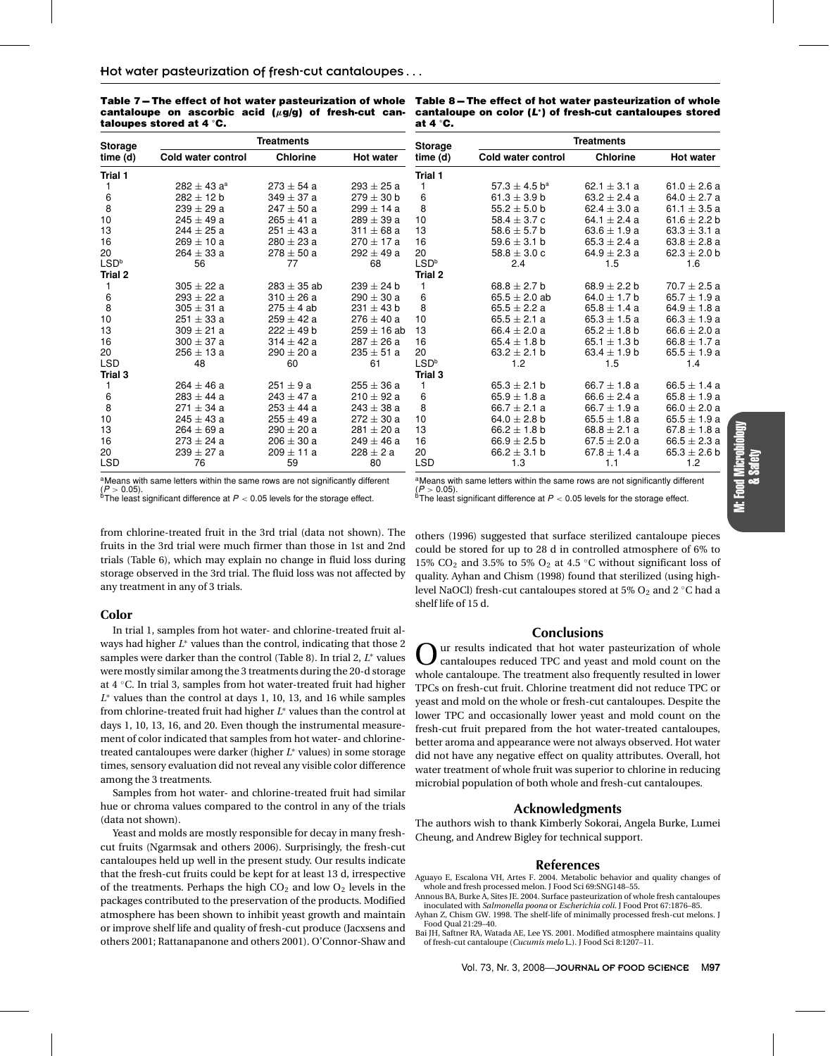| Table 7 – The effect of hot water pasteurization of whole |  |  |  |
|-----------------------------------------------------------|--|--|--|
| cantaloupe on ascorbic acid $(\mu g/g)$ of fresh-cut can- |  |  |  |
| taloupes stored at 4 $\degree$ C.                         |  |  |  |

Table 8 - The effect of hot water pasteurization of whole **cantaloupe on color (***L***∗) of fresh-cut cantaloupes stored at 4 ◦ C.**

| <b>Storage</b>   | <b>Treatments</b>  |                 |                  | Storage          | <b>Treatments</b>             |                  |                  |
|------------------|--------------------|-----------------|------------------|------------------|-------------------------------|------------------|------------------|
| time (d)         | Cold water control | <b>Chlorine</b> | <b>Hot water</b> | time (d)         | Cold water control            | <b>Chlorine</b>  | <b>Hot water</b> |
| Trial 1          |                    |                 |                  | Trial 1          |                               |                  |                  |
| 1                | $282 \pm 43 a^a$   | $273 \pm 54$ a  | $293 \pm 25 a$   | 1                | $57.3 \pm 4.5$ b <sup>a</sup> | 62.1 $\pm$ 3.1 a | 61.0 $\pm$ 2.6 a |
| 6                | $282 + 12 h$       | $349 + 37a$     | $279 \pm 30$ b   | 6                | 61.3 $\pm$ 3.9 b              | $63.2 + 2.4a$    | 64.0 $\pm$ 2.7 a |
| 8                | $239 \pm 29$ a     | $247 \pm 50$ a  | $299 \pm 14$ a   | 8                | 55.2 $\pm$ 5.0 b              | 62.4 $\pm$ 3.0 a | 61.1 $\pm$ 3.5 a |
| 10               | $245 + 49a$        | $265 \pm 41$ a  | $289 \pm 39$ a   | 10               | 58.4 $\pm$ 3.7 c              | $64.1 + 2.4 a$   | 61.6 $\pm$ 2.2 b |
| 13               | $244 + 25a$        | $251 + 43a$     | $311 \pm 68$ a   | 13               | 58.6 $\pm$ 5.7 b              | $63.6 + 1.9 a$   | $63.3 \pm 3.1 a$ |
| 16               | $269 \pm 10 a$     | $280 \pm 23$ a  | $270 \pm 17$ a   | 16               | 59.6 $\pm$ 3.1 b              | 65.3 $\pm$ 2.4 a | $63.8 \pm 2.8 a$ |
| 20               | $264 \pm 33$ a     | $278 \pm 50$ a  | $292 + 49a$      | 20               | $58.8 \pm 3.0 c$              | 64.9 $\pm$ 2.3 a | 62.3 $\pm$ 2.0 b |
| LSD <sup>b</sup> | 56                 | 77              | 68               | LSD <sup>b</sup> | 2.4                           | 1.5              | 1.6              |
| Trial 2          |                    |                 |                  | Trial 2          |                               |                  |                  |
| 1                | $305 \pm 22 a$     | $283 \pm 35$ ab | $239 \pm 24$ b   | 1                | 68.8 $\pm$ 2.7 b              | 68.9 $\pm$ 2.2 b | $70.7 \pm 2.5$ a |
| 6                | $293 + 22a$        | $310 \pm 26 a$  | $290 \pm 30 a$   | 6                | $65.5 + 2.0$ ab               | $64.0 + 1.7$ b   | $65.7 \pm 1.9 a$ |
| 8                | $305 \pm 31$ a     | $275 \pm 4$ ab  | $231 \pm 43$ b   | 8                | $65.5 \pm 2.2 a$              | $65.8 \pm 1.4 a$ | $64.9 \pm 1.8 a$ |
| 10               | $251 \pm 33$ a     | $259 \pm 42$ a  | $276 \pm 40 a$   | 10               | $65.5 \pm 2.1 a$              | $65.3 \pm 1.5 a$ | $66.3 \pm 1.9 a$ |
| 13               | $309 \pm 21 a$     | $222 \pm 49$ b  | $259 \pm 16$ ab  | 13               | 66.4 $\pm$ 2.0 a              | 65.2 $\pm$ 1.8 b | 66.6 $\pm$ 2.0 a |
| 16               | $300 \pm 37$ a     | $314 \pm 42 a$  | $287 \pm 26$ a   | 16               | 65.4 $\pm$ 1.8 b              | 65.1 $\pm$ 1.3 b | 66.8 $\pm$ 1.7 a |
| 20               | $256 \pm 13$ a     | $290 \pm 20 a$  | $235 \pm 51$ a   | 20               | 63.2 $\pm$ 2.1 b              | 63.4 $\pm$ 1.9 b | $65.5 \pm 1.9 a$ |
| <b>LSD</b>       | 48                 | 60              | 61               | LSD <sup>b</sup> | 1.2                           | 1.5              | 1.4              |
| Trial 3          |                    |                 |                  | Trial 3          |                               |                  |                  |
| 1                | $264 \pm 46$ a     | $251 \pm 9a$    | $255 \pm 36$ a   | 1.               | 65.3 $\pm$ 2.1 b              | 66.7 $\pm$ 1.8 a | 66.5 $\pm$ 1.4 a |
| 6                | $283 \pm 44$ a     | $243 \pm 47$ a  | $210 \pm 92$ a   | 6                | 65.9 $\pm$ 1.8 a              | 66.6 $\pm$ 2.4 a | 65.8 $\pm$ 1.9 a |
| 8                | $271 + 34a$        | $253 + 44a$     | $243 + 38a$      | 8                | 66.7 $\pm$ 2.1 a              | 66.7 $\pm$ 1.9 a | 66.0 $\pm$ 2.0 a |
| 10               | $245 \pm 43$ a     | $255 \pm 49$ a  | $272 \pm 30$ a   | 10               | 64.0 $\pm$ 2.8 b              | $65.5 \pm 1.8$ a | $65.5 \pm 1.9 a$ |
| 13               | $264 \pm 69$ a     | $290 \pm 20 a$  | $281 \pm 20 a$   | 13               | 66.2 $\pm$ 1.8 b              | $68.8 \pm 2.1 a$ | $67.8 \pm 1.8$ a |
| 16               | $273 \pm 24$ a     | $206 \pm 30 a$  | $249 + 46a$      | 16               | 66.9 $\pm$ 2.5 b              | $67.5 \pm 2.0 a$ | 66.5 $\pm$ 2.3 a |
| 20               | $239 \pm 27$ a     | $209 \pm 11$ a  | $228 \pm 2a$     | 20               | 66.2 $\pm$ 3.1 b              | $67.8 \pm 1.4 a$ | $65.3 \pm 2.6 b$ |
| <b>LSD</b>       | 76                 | 59              | 80               | <b>LSD</b>       | 1.3                           | 1.1              | 1.2              |

aMeans with same letters within the same rows are not significantly different

( $\overline{P}$  > 0.05).<br>  $\overline{P}$ The least significant difference at  $P < 0.05$  levels for the storage effect.

from chlorine-treated fruit in the 3rd trial (data not shown). The fruits in the 3rd trial were much firmer than those in 1st and 2nd trials (Table 6), which may explain no change in fluid loss during storage observed in the 3rd trial. The fluid loss was not affected by any treatment in any of 3 trials.

## **Color**

In trial 1, samples from hot water- and chlorine-treated fruit always had higher *L*<sup>∗</sup> values than the control, indicating that those 2 samples were darker than the control (Table 8). In trial 2, *L*<sup>∗</sup> values were mostly similar among the 3 treatments during the 20-d storage at 4 ◦C. In trial 3, samples from hot water-treated fruit had higher *L*<sup>∗</sup> values than the control at days 1, 10, 13, and 16 while samples from chlorine-treated fruit had higher *L*<sup>∗</sup> values than the control at days 1, 10, 13, 16, and 20. Even though the instrumental measurement of color indicated that samples from hot water- and chlorinetreated cantaloupes were darker (higher *L*<sup>∗</sup> values) in some storage times, sensory evaluation did not reveal any visible color difference among the 3 treatments.

Samples from hot water- and chlorine-treated fruit had similar hue or chroma values compared to the control in any of the trials (data not shown).

Yeast and molds are mostly responsible for decay in many freshcut fruits (Ngarmsak and others 2006). Surprisingly, the fresh-cut cantaloupes held up well in the present study. Our results indicate that the fresh-cut fruits could be kept for at least 13 d, irrespective of the treatments. Perhaps the high  $CO<sub>2</sub>$  and low  $O<sub>2</sub>$  levels in the packages contributed to the preservation of the products. Modified atmosphere has been shown to inhibit yeast growth and maintain or improve shelf life and quality of fresh-cut produce (Jacxsens and others 2001; Rattanapanone and others 2001). O'Connor-Shaw and

 $A$ Means with same letters within the same rows are not significantly different<br>(P > 0.05).  $(P > 0.05)$ .<br><sup>b</sup>The least significant difference at  $P < 0.05$  levels for the storage effect.

others (1996) suggested that surface sterilized cantaloupe pieces could be stored for up to 28 d in controlled atmosphere of 6% to 15% CO<sub>2</sub> and 3.5% to 5% O<sub>2</sub> at 4.5 °C without significant loss of quality. Ayhan and Chism (1998) found that sterilized (using highlevel NaOCl) fresh-cut cantaloupes stored at 5%  $O_2$  and 2 °C had a shelf life of 15 d.

## **Conclusions**

ur results indicated that hot water pasteurization of whole cantaloupes reduced TPC and yeast and mold count on the whole cantaloupe. The treatment also frequently resulted in lower TPCs on fresh-cut fruit. Chlorine treatment did not reduce TPC or yeast and mold on the whole or fresh-cut cantaloupes. Despite the lower TPC and occasionally lower yeast and mold count on the fresh-cut fruit prepared from the hot water-treated cantaloupes, better aroma and appearance were not always observed. Hot water did not have any negative effect on quality attributes. Overall, hot water treatment of whole fruit was superior to chlorine in reducing microbial population of both whole and fresh-cut cantaloupes.

## **Acknowledgments**

The authors wish to thank Kimberly Sokorai, Angela Burke, Lumei Cheung, and Andrew Bigley for technical support.

#### **References**

- Aguayo E, Escalona VH, Artes F. 2004. Metabolic behavior and quality changes of whole and fresh processed melon. J Food Sci 69:SNG148–55.
- Annous BA, Burke A, Sites JE. 2004. Surface pasteurization of whole fresh cantaloupes inoculated with *Salmonella poona* or *Escherichia coli*. J Food Prot 67:1876–85.
- Ayhan Z, Chism GW. 1998. The shelf-life of minimally processed fresh-cut melons. J Food Qual 21:29–40.
- Bai JH, Saftner RA, Watada AE, Lee YS. 2001. Modified atmosphere maintains quality of fresh-cut cantaloupe (*Cucumis melo* L.). J Food Sci 8:1207–11.